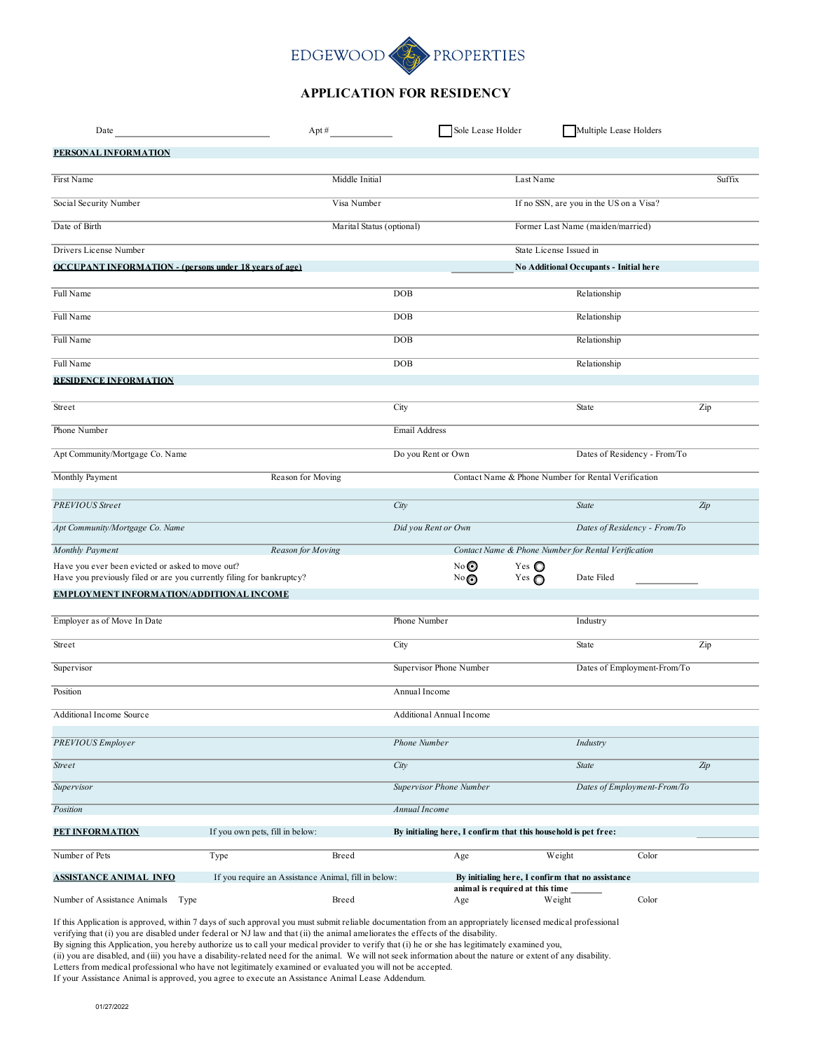## EDGEWOOD PROPERTIES L,

## **APPLICATION FOR RESIDENCY**

| Date                                                                                                                      | Apt #                                               |                           |                          | Sole Lease Holder                                              |                                  | Multiple Lease Holders                              |       |        |
|---------------------------------------------------------------------------------------------------------------------------|-----------------------------------------------------|---------------------------|--------------------------|----------------------------------------------------------------|----------------------------------|-----------------------------------------------------|-------|--------|
| PERSONAL INFORMATION                                                                                                      |                                                     |                           |                          |                                                                |                                  |                                                     |       |        |
| First Name                                                                                                                |                                                     | Middle Initial            |                          |                                                                | Last Name                        |                                                     |       | Suffix |
| Social Security Number                                                                                                    |                                                     | Visa Number               |                          |                                                                |                                  | If no SSN, are you in the US on a Visa?             |       |        |
| Date of Birth                                                                                                             |                                                     | Marital Status (optional) |                          |                                                                |                                  | Former Last Name (maiden/married)                   |       |        |
| Drivers License Number                                                                                                    |                                                     |                           |                          |                                                                | State License Issued in          |                                                     |       |        |
| <b>OCCUPANT INFORMATION - (persons under 18 years of age)</b>                                                             |                                                     |                           |                          |                                                                |                                  | No Additional Occupants - Initial here              |       |        |
| Full Name                                                                                                                 |                                                     |                           | DOB                      |                                                                |                                  | Relationship                                        |       |        |
| Full Name                                                                                                                 |                                                     |                           | DOB                      |                                                                |                                  | Relationship                                        |       |        |
| Full Name                                                                                                                 |                                                     |                           | DOB                      |                                                                |                                  | Relationship                                        |       |        |
| Full Name                                                                                                                 |                                                     |                           | DOB                      |                                                                |                                  | Relationship                                        |       |        |
| <b>RESIDENCE INFORMATION</b>                                                                                              |                                                     |                           |                          |                                                                |                                  |                                                     |       |        |
| Street                                                                                                                    |                                                     |                           | City                     |                                                                |                                  | State                                               |       | Zip    |
| Phone Number                                                                                                              |                                                     |                           | Email Address            |                                                                |                                  |                                                     |       |        |
| Apt Community/Mortgage Co. Name                                                                                           |                                                     |                           | Do you Rent or Own       |                                                                |                                  | Dates of Residency - From/To                        |       |        |
| Monthly Payment                                                                                                           | Reason for Moving                                   |                           |                          |                                                                |                                  | Contact Name & Phone Number for Rental Verification |       |        |
| <b>PREVIOUS</b> Street                                                                                                    |                                                     |                           | City                     |                                                                |                                  | State                                               |       | Zip    |
| Apt Community/Mortgage Co. Name                                                                                           |                                                     |                           | Did you Rent or Own      |                                                                |                                  | Dates of Residency - From/To                        |       |        |
| Monthly Payment                                                                                                           | Reason for Moving                                   |                           |                          |                                                                |                                  | Contact Name & Phone Number for Rental Verification |       |        |
| Have you ever been evicted or asked to move out?<br>Have you previously filed or are you currently filing for bankruptcy? |                                                     |                           |                          | No◎<br>No                                                      | Yes $\bigcirc$<br>Yes $\bigcirc$ | Date Filed                                          |       |        |
| EMPLOYMENT INFORMATION/ADDITIONAL INCOME                                                                                  |                                                     |                           |                          |                                                                |                                  |                                                     |       |        |
| Employer as of Move In Date                                                                                               |                                                     |                           | Phone Number             |                                                                |                                  | Industry                                            |       |        |
| Street                                                                                                                    |                                                     |                           | City                     |                                                                |                                  | State                                               |       | Zip    |
| Supervisor                                                                                                                |                                                     |                           | Supervisor Phone Number  |                                                                |                                  | Dates of Employment-From/To                         |       |        |
| Position                                                                                                                  |                                                     |                           | Annual Income            |                                                                |                                  |                                                     |       |        |
| Additional Income Source                                                                                                  |                                                     |                           | Additional Annual Income |                                                                |                                  |                                                     |       |        |
| <b>PREVIOUS</b> Employer                                                                                                  |                                                     |                           | Phone Number             |                                                                |                                  | Industry                                            |       |        |
| <b>Street</b>                                                                                                             |                                                     |                           | City                     |                                                                |                                  | State                                               |       | Zip    |
| Supervisor                                                                                                                |                                                     |                           | Supervisor Phone Number  |                                                                |                                  | Dates of Employment-From/To                         |       |        |
| Position                                                                                                                  |                                                     |                           | Annual Income            |                                                                |                                  |                                                     |       |        |
| PET INFORMATION                                                                                                           | If you own pets, fill in below:                     |                           |                          | By initialing here, I confirm that this household is pet free: |                                  |                                                     |       |        |
| Number of Pets                                                                                                            | Type                                                | Breed                     |                          | Age                                                            | Weight                           |                                                     | Color |        |
| <b>ASSISTANCE ANIMAL INFO</b>                                                                                             | If you require an Assistance Animal, fill in below: |                           |                          |                                                                | animal is required at this time  | By initialing here, I confirm that no assistance    |       |        |
| Number of Assistance Animals<br>Type                                                                                      |                                                     | Breed                     |                          | Age                                                            | Weight                           |                                                     | Color |        |

If this Application is approved, within 7 days of such approval you must submit reliable documentation from an appropriately licensed medical professional

verifying that (i) you are disabled under federal or NJ law and that (ii) the animal ameliorates the effects of the disability.

By signing this Application, you hereby authorize us to call your medical provider to verify that (i) he or she has legitimately examined you,

(ii) you are disabled, and (iii) you have a disability-related need for the animal. We will not seek information about the nature or extent of any disability.

Letters from medical professional who have not legitimately examined or evaluated you will not be accepted.

If your Assistance Animal is approved, you agree to execute an Assistance Animal Lease Addendum.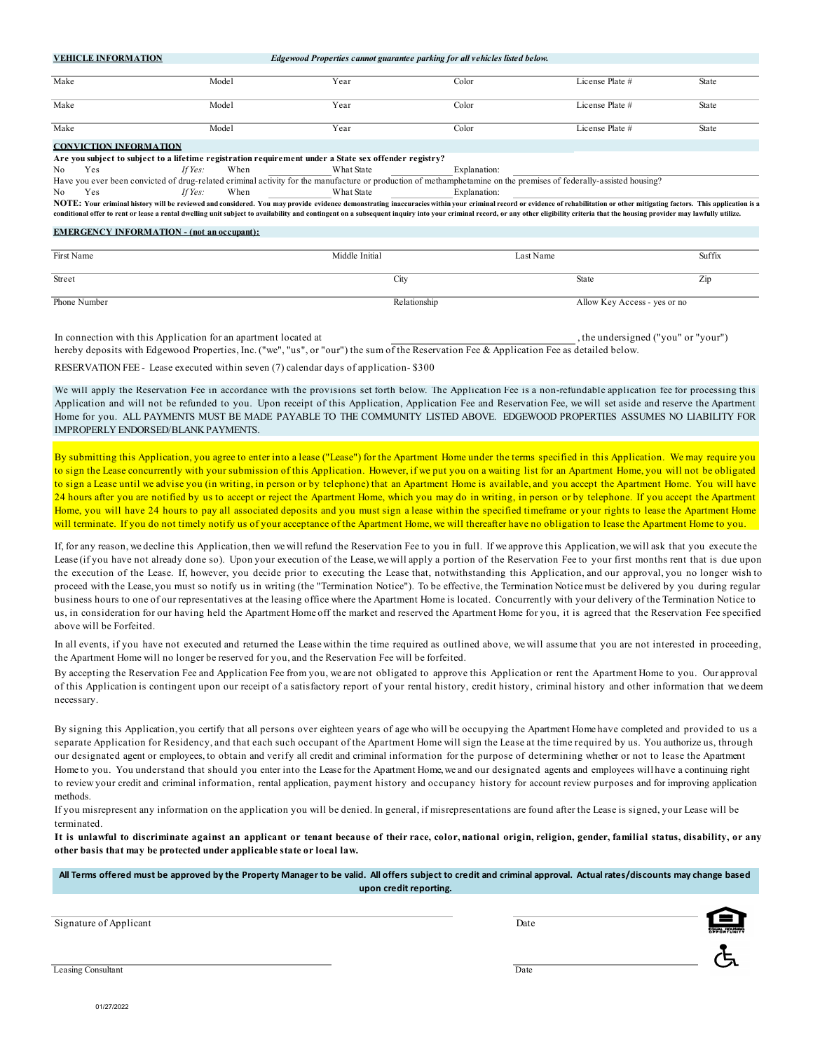|            | <b>VEHICLE INFORMATION</b>                        |                 | Edgewood Properties cannot guarantee parking for all vehicles listed below.                                                                                        |              |                                                                                                                                                                                                                                                                                                                                                                                                                                                                 |              |
|------------|---------------------------------------------------|-----------------|--------------------------------------------------------------------------------------------------------------------------------------------------------------------|--------------|-----------------------------------------------------------------------------------------------------------------------------------------------------------------------------------------------------------------------------------------------------------------------------------------------------------------------------------------------------------------------------------------------------------------------------------------------------------------|--------------|
| Make       |                                                   | Model           | Year                                                                                                                                                               | Color        | License Plate #                                                                                                                                                                                                                                                                                                                                                                                                                                                 | <b>State</b> |
| Make       |                                                   | Model           | Year                                                                                                                                                               | Color        | License Plate #                                                                                                                                                                                                                                                                                                                                                                                                                                                 | State        |
| Make       |                                                   | Model           | Year                                                                                                                                                               | Color        | License Plate #                                                                                                                                                                                                                                                                                                                                                                                                                                                 | State        |
|            | <b>CONVICTION INFORMATION</b>                     |                 |                                                                                                                                                                    |              |                                                                                                                                                                                                                                                                                                                                                                                                                                                                 |              |
|            |                                                   |                 | Are you subject to subject to a lifetime registration requirement under a State sex offender registry?                                                             |              |                                                                                                                                                                                                                                                                                                                                                                                                                                                                 |              |
| N0         | Yes                                               | If Yes:<br>When | What State                                                                                                                                                         | Explanation: |                                                                                                                                                                                                                                                                                                                                                                                                                                                                 |              |
|            |                                                   |                 | Have you ever been convicted of drug-related criminal activity for the manufacture or production of methamphetamine on the premises of federally-assisted housing? |              |                                                                                                                                                                                                                                                                                                                                                                                                                                                                 |              |
| No         | Yes                                               | When<br>If Yes: | <b>What State</b>                                                                                                                                                  | Explanation: |                                                                                                                                                                                                                                                                                                                                                                                                                                                                 |              |
|            |                                                   |                 |                                                                                                                                                                    |              | NOTE: Your criminal history will be reviewed and considered. You may provide evidence demonstrating inaccuracies within your criminal record or evidence of rehabilitation or other mitigating factors. This application is a<br>conditional offer to rent or lease a rental dwelling unit subject to availability and contingent on a subsequent inquiry into your criminal record, or any other eligibility criteria that the housing provider may lawfully u |              |
|            | <b>EMERGENCY INFORMATION - (not an occupant):</b> |                 |                                                                                                                                                                    |              |                                                                                                                                                                                                                                                                                                                                                                                                                                                                 |              |
| First Name |                                                   |                 | Middle Initial                                                                                                                                                     | Last Name    |                                                                                                                                                                                                                                                                                                                                                                                                                                                                 | Suffix       |
| Street     |                                                   |                 | City                                                                                                                                                               |              | <b>State</b>                                                                                                                                                                                                                                                                                                                                                                                                                                                    | Zip          |

| <b>Succi</b> | $\cup$ IV     | State                        |  |
|--------------|---------------|------------------------------|--|
| Phone Number | le lationship | Allow Key Access - yes or no |  |

In connection with this Application for an apartment located at , the undersigned ("you" or "your") hereby deposits with Edgewood Properties, Inc. ("we", "us", or "our") the sum of the Reservation Fee & Application Fee as detailed below.

RESERVATION FEE - Lease executed within seven (7) calendar days of application- \$300

We will apply the Reservation Fee in accordance with the provisions set forth below. The Application Fee is a non-refundable application fee for processing this Application and will not be refunded to you. Upon receipt of this Application, Application Fee and Reservation Fee, we will set aside and reserve the Apartment Home for you. ALL PAYMENTS MUST BE MADE PAYABLE TO THE COMMUNITY LISTED ABOVE. EDGEWOOD PROPERTIES ASSUMES NO LIABILITY FOR IMPROPERLY ENDORSED/BLANK PAYMENTS.

By submitting this Application, you agree to enter into a lease ("Lease") for the Apartment Home under the terms specified in this Application. We may require you to sign the Lease concurrently with your submission of this Application. However, if we put you on a waiting list for an Apartment Home, you will not be obligated to sign a Lease until we advise you (in writing, in person or by telephone) that an Apartment Home is available, and you accept the Apartment Home. You will have 24 hours after you are notified by us to accept or reject the Apartment Home, which you may do in writing, in person or by telephone. If you accept the Apartment Home, you will have 24 hours to pay all associated deposits and you must sign a lease within the specified timeframe or your rights to lease the Apartment Home will terminate. If you do not timely notify us of your acceptance of the Apartment Home, we will thereafter have no obligation to lease the Apartment Home to you.

If, for any reason, we decline this Application, then we will refund the Reservation Fee to you in full. If we approve this Application, we will ask that you execute the Lease (if you have not already done so). Upon your execution of the Lease, we will apply a portion of the Reservation Fee to your first months rent that is due upon the execution of the Lease. If, however, you decide prior to executing the Lease that, notwithstanding this Application, and our approval, you no longer wish to proceed with the Lease, you must so notify us in writing (the "Termination Notice"). To be effective, the Termination Notice must be delivered by you during regular business hours to one of our representatives at the leasing office where the Apartment Home is located. Concurrently with your delivery of the Termination Notice to us, in consideration for our having held the Apartment Home off the market and reserved the Apartment Home for you, it is agreed that the Reservation Fee specified above will be Forfeited.

In all events, if you have not executed and returned the Lease within the time required as outlined above, we will assume that you are not interested in proceeding, the Apartment Home will no longer be reserved for you, and the Reservation Fee will be forfeited.

By accepting the Reservation Fee and Application Fee from you, we are not obligated to approve this Application or rent the Apartment Home to you. Our approval of this Application is contingent upon our receipt of a satisfactory report of your rental history, credit history, criminal history and other information that we deem necessary.

By signing this Application, you certify that all persons over eighteen years of age who will be occupying the Apartment Home have completed and provided to us a separate Application for Residency, and that each such occupant of the Apartment Home will sign the Lease at the time required by us. You authorize us, through our designated agent or employees, to obtain and verify all credit and criminal information for the purpose of determining whether or not to lease the Apartment Home to you. You understand that should you enter into the Lease for the Apartment Home,we and our designated agents and employees will have a continuing right to review your credit and criminal information, rental application, payment history and occupancy history for account review purposes and for improving application methods.

If you misrepresent any information on the application you will be denied. In general, if misrepresentations are found after the Lease is signed, your Lease will be terminated.

It is unlawful to discriminate against an applicant or tenant because of their race, color, national origin, religion, gender, familial status, disability, or any **other basis that may be protected under applicable state or local law.**

**All Terms offered must be approved by the Property Manager to be valid. All offers subject to credit and criminal approval. Actual rates/discounts may change based upon credit reporting.**

Signature of Applicant Date of Applicant Date of Applicant Date of Applicant Date of Applicant Date of Applicant Date of Applicant Date of Applicant Date of Applicant Date of Applicant Date of Applicant Date of Applicant D



Leasing Consultant Date of the Consultant Date of the Consultant Date of the Consultant Date of the Consultant